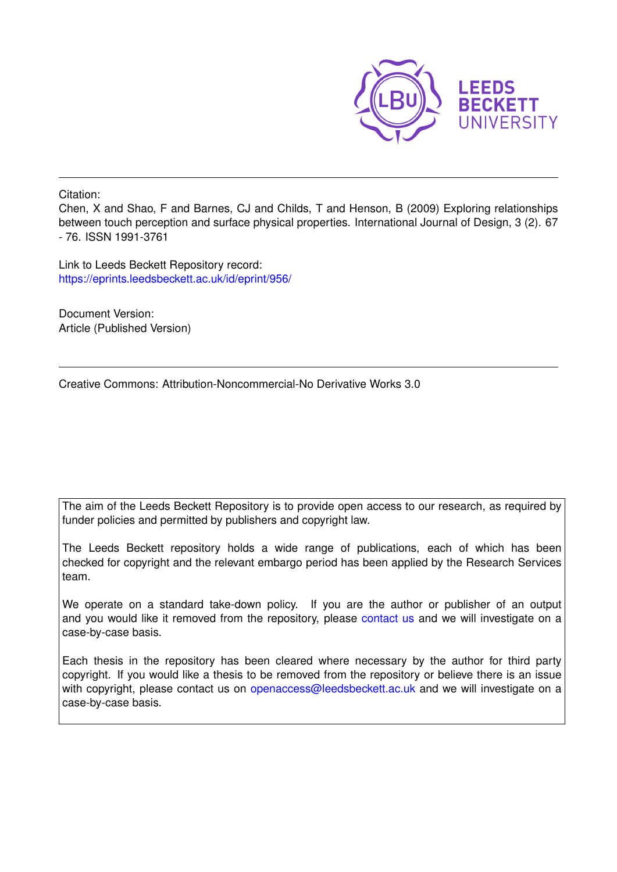

Citation:

Chen, X and Shao, F and Barnes, CJ and Childs, T and Henson, B (2009) Exploring relationships between touch perception and surface physical properties. International Journal of Design, 3 (2). 67 - 76. ISSN 1991-3761

Link to Leeds Beckett Repository record: <https://eprints.leedsbeckett.ac.uk/id/eprint/956/>

Document Version: Article (Published Version)

Creative Commons: Attribution-Noncommercial-No Derivative Works 3.0

The aim of the Leeds Beckett Repository is to provide open access to our research, as required by funder policies and permitted by publishers and copyright law.

The Leeds Beckett repository holds a wide range of publications, each of which has been checked for copyright and the relevant embargo period has been applied by the Research Services team.

We operate on a standard take-down policy. If you are the author or publisher of an output and you would like it removed from the repository, please [contact us](mailto:openaccess@leedsbeckett.ac.uk) and we will investigate on a case-by-case basis.

Each thesis in the repository has been cleared where necessary by the author for third party copyright. If you would like a thesis to be removed from the repository or believe there is an issue with copyright, please contact us on [openaccess@leedsbeckett.ac.uk](mailto:openaccess@leedsbeckett.ac.uk) and we will investigate on a case-by-case basis.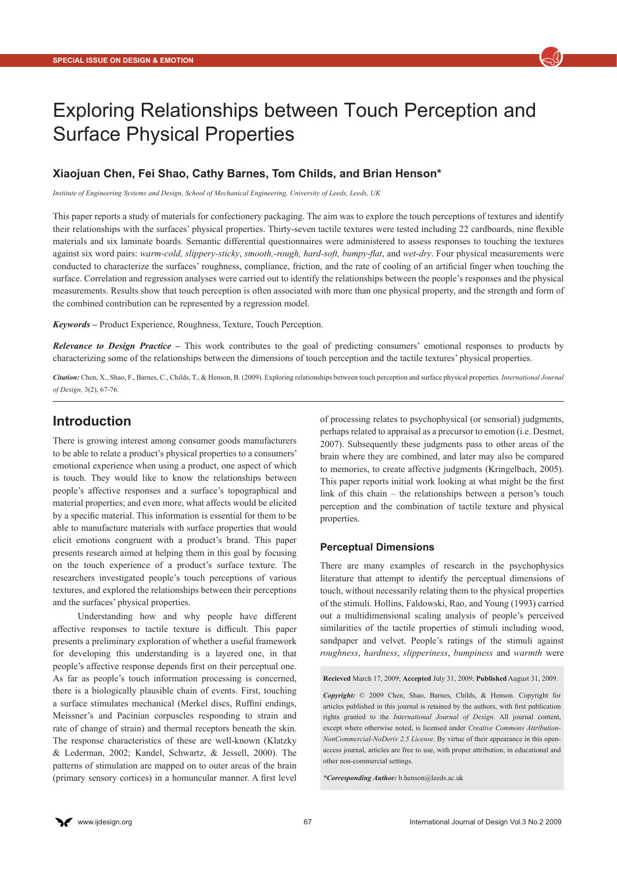

# Exploring Relationships between Touch Perception and Surface Physical Properties

### **Xiaojuan Chen, Fei Shao, Cathy Barnes, Tom Childs, and Brian Henson\***

*Institute of Engineering Systems and Design, School of Mechanical Engineering, University of Leeds, Leeds, UK*

This paper reports a study of materials for confectionery packaging. The aim was to explore the touch perceptions of textures and identify their relationships with the surfaces' physical properties. Thirty-seven tactile textures were tested including 22 cardboards, nine flexible materials and six laminate boards. Semantic differential questionnaires were administered to assess responses to touching the textures against six word pairs: *warm-cold, slippery-sticky*, *smooth,-rough, hard-soft, bumpy-flat*, and *wet-dry*. Four physical measurements were conducted to characterize the surfaces' roughness, compliance, friction, and the rate of cooling of an artificial finger when touching the surface. Correlation and regression analyses were carried out to identify the relationships between the people's responses and the physical measurements. Results show that touch perception is often associated with more than one physical property, and the strength and form of the combined contribution can be represented by a regression model.

*Keywords –* Product Experience, Roughness, Texture, Touch Perception.

*Relevance to Design Practice –* This work contributes to the goal of predicting consumers' emotional responses to products by characterizing some of the relationships between the dimensions of touch perception and the tactile textures' physical properties.

*Citation:* Chen, X., Shao, F., Barnes, C., Childs, T., & Henson, B. (2009). Exploring relationships between touch perception and surface physical properties. *International Journal of Design,* 3(2), 67-76.

# **Introduction**

There is growing interest among consumer goods manufacturers to be able to relate a product's physical properties to a consumers' emotional experience when using a product, one aspect of which is touch. They would like to know the relationships between people's affective responses and a surface's topographical and material properties; and even more, what affects would be elicited by a specific material. This information is essential for them to be able to manufacture materials with surface properties that would elicit emotions congruent with a product's brand. This paper presents research aimed at helping them in this goal by focusing on the touch experience of a product's surface texture. The researchers investigated people's touch perceptions of various textures, and explored the relationships between their perceptions and the surfaces' physical properties.

Understanding how and why people have different affective responses to tactile texture is difficult. This paper presents a preliminary exploration of whether a useful framework for developing this understanding is a layered one, in that people's affective response depends first on their perceptual one. As far as people's touch information processing is concerned, there is a biologically plausible chain of events. First, touching a surface stimulates mechanical (Merkel discs, Ruffini endings, Meissner's and Pacinian corpuscles responding to strain and rate of change of strain) and thermal receptors beneath the skin. The response characteristics of these are well-known (Klatzky & Lederman, 2002; Kandel, Schwartz, & Jessell, 2000). The patterns of stimulation are mapped on to outer areas of the brain (primary sensory cortices) in a homuncular manner. A first level of processing relates to psychophysical (or sensorial) judgments, perhaps related to appraisal as a precursor to emotion (i.e. Desmet, 2007). Subsequently these judgments pass to other areas of the brain where they are combined, and later may also be compared to memories, to create affective judgments (Kringelbach, 2005). This paper reports initial work looking at what might be the first link of this chain – the relationships between a person's touch perception and the combination of tactile texture and physical properties.

#### **Perceptual Dimensions**

There are many examples of research in the psychophysics literature that attempt to identify the perceptual dimensions of touch, without necessarily relating them to the physical properties of the stimuli. Hollins, Faldowski, Rao, and Young (1993) carried out a multidimensional scaling analysis of people's perceived similarities of the tactile properties of stimuli including wood, sandpaper and velvet. People's ratings of the stimuli against *roughness*, *hardness*, *slipperiness*, *bumpiness* and *warmth* were

**Recieved** March 17, 2009; **Accepted** July 31, 2009; **Published** August 31, 2009.

*Copyright:* © 2009 Chen, Shao, Barnes, Childs, & Henson. Copyright for articles published in this journal is retained by the authors, with first publication rights granted to the *International Journal of Design*. All journal content, except where otherwise noted, is licensed under *Creative Commons Attribution-NonCommercial-NoDeriv 2.5 License*. By virtue of their appearance in this openaccess journal, articles are free to use, with proper attribution, in educational and other non-commercial settings.

*\*Corresponding Author:* [b.henson@leeds.ac.uk](mailto:b.henson@leeds.ac.uk)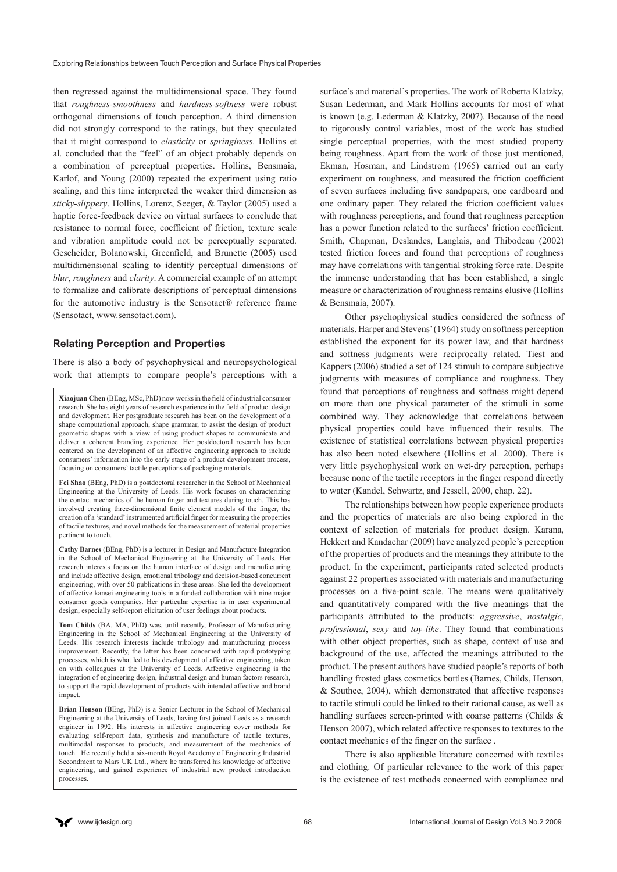then regressed against the multidimensional space. They found that *roughness-smoothness* and *hardness-softness* were robust orthogonal dimensions of touch perception. A third dimension did not strongly correspond to the ratings, but they speculated that it might correspond to *elasticity* or *springiness*. Hollins et al. concluded that the "feel" of an object probably depends on a combination of perceptual properties. Hollins, Bensmaia, Karlof, and Young (2000) repeated the experiment using ratio scaling, and this time interpreted the weaker third dimension as *sticky-slippery*. Hollins, Lorenz, Seeger, & Taylor (2005) used a haptic force-feedback device on virtual surfaces to conclude that resistance to normal force, coefficient of friction, texture scale and vibration amplitude could not be perceptually separated. Gescheider, Bolanowski, Greenfield, and Brunette (2005) used multidimensional scaling to identify perceptual dimensions of *blur*, *roughness* and *clarity*. A commercial example of an attempt to formalize and calibrate descriptions of perceptual dimensions for the automotive industry is the Sensotact® reference frame (Sensotact, [www.sensotact.com\)](www.sensotact.com).

#### **Relating Perception and Properties**

There is also a body of psychophysical and neuropsychological work that attempts to compare people's perceptions with a

**Xiaojuan Chen** (BEng, MSc, PhD) now works in the field of industrial consumer research. She has eight years of research experience in the field of product design and development. Her postgraduate research has been on the development of a shape computational approach, shape grammar, to assist the design of product geometric shapes with a view of using product shapes to communicate and deliver a coherent branding experience. Her postdoctoral research has been centered on the development of an affective engineering approach to include consumers' information into the early stage of a product development process, focusing on consumers' tactile perceptions of packaging materials.

**Fei Shao** (BEng, PhD) is a postdoctoral researcher in the School of Mechanical Engineering at the University of Leeds. His work focuses on characterizing the contact mechanics of the human finger and textures during touch. This has involved creating three-dimensional finite element models of the finger, the creation of a 'standard' instrumented artificial finger for measuring the properties of tactile textures, and novel methods for the measurement of material properties pertinent to touch.

**Cathy Barnes** (BEng, PhD) is a lecturer in Design and Manufacture Integration in the School of Mechanical Engineering at the University of Leeds. Her research interests focus on the human interface of design and manufacturing and include affective design, emotional tribology and decision-based concurrent engineering, with over 50 publications in these areas. She led the development of affective kansei engineering tools in a funded collaboration with nine major consumer goods companies. Her particular expertise is in user experimental design, especially self-report elicitation of user feelings about products.

**Tom Childs** (BA, MA, PhD) was, until recently, Professor of Manufacturing Engineering in the School of Mechanical Engineering at the University of Leeds. His research interests include tribology and manufacturing process improvement. Recently, the latter has been concerned with rapid prototyping processes, which is what led to his development of affective engineering, taken on with colleagues at the University of Leeds. Affective engineering is the integration of engineering design, industrial design and human factors research, to support the rapid development of products with intended affective and brand impact.

**Brian Henson** (BEng, PhD) is a Senior Lecturer in the School of Mechanical Engineering at the University of Leeds, having first joined Leeds as a research engineer in 1992. His interests in affective engineering cover methods for evaluating self-report data, synthesis and manufacture of tactile textures, multimodal responses to products, and measurement of the mechanics of touch. He recently held a six-month Royal Academy of Engineering Industrial Secondment to Mars UK Ltd., where he transferred his knowledge of affective engineering, and gained experience of industrial new product introduction processes.

surface's and material's properties. The work of Roberta Klatzky, Susan Lederman, and Mark Hollins accounts for most of what is known (e.g. Lederman & Klatzky, 2007). Because of the need to rigorously control variables, most of the work has studied single perceptual properties, with the most studied property being roughness. Apart from the work of those just mentioned, Ekman, Hosman, and Lindstrom (1965) carried out an early experiment on roughness, and measured the friction coefficient of seven surfaces including five sandpapers, one cardboard and one ordinary paper. They related the friction coefficient values with roughness perceptions, and found that roughness perception has a power function related to the surfaces' friction coefficient. Smith, Chapman, Deslandes, Langlais, and Thibodeau (2002) tested friction forces and found that perceptions of roughness may have correlations with tangential stroking force rate. Despite the immense understanding that has been established, a single measure or characterization of roughness remains elusive (Hollins & Bensmaia, 2007).

Other psychophysical studies considered the softness of materials. Harper and Stevens' (1964) study on softness perception established the exponent for its power law, and that hardness and softness judgments were reciprocally related. Tiest and Kappers (2006) studied a set of 124 stimuli to compare subjective judgments with measures of compliance and roughness. They found that perceptions of roughness and softness might depend on more than one physical parameter of the stimuli in some combined way. They acknowledge that correlations between physical properties could have influenced their results. The existence of statistical correlations between physical properties has also been noted elsewhere (Hollins et al. 2000). There is very little psychophysical work on wet-dry perception, perhaps because none of the tactile receptors in the finger respond directly to water (Kandel, Schwartz, and Jessell, 2000, chap. 22).

The relationships between how people experience products and the properties of materials are also being explored in the context of selection of materials for product design. Karana, Hekkert and Kandachar (2009) have analyzed people's perception of the properties of products and the meanings they attribute to the product. In the experiment, participants rated selected products against 22 properties associated with materials and manufacturing processes on a five-point scale. The means were qualitatively and quantitatively compared with the five meanings that the participants attributed to the products: *aggressive*, *nostalgic*, *professional*, *sexy* and *toy-like*. They found that combinations with other object properties, such as shape, context of use and background of the use, affected the meanings attributed to the product. The present authors have studied people's reports of both handling frosted glass cosmetics bottles (Barnes, Childs, Henson, & Southee, 2004), which demonstrated that affective responses to tactile stimuli could be linked to their rational cause, as well as handling surfaces screen-printed with coarse patterns (Childs & Henson 2007), which related affective responses to textures to the contact mechanics of the finger on the surface .

There is also applicable literature concerned with textiles and clothing. Of particular relevance to the work of this paper is the existence of test methods concerned with compliance and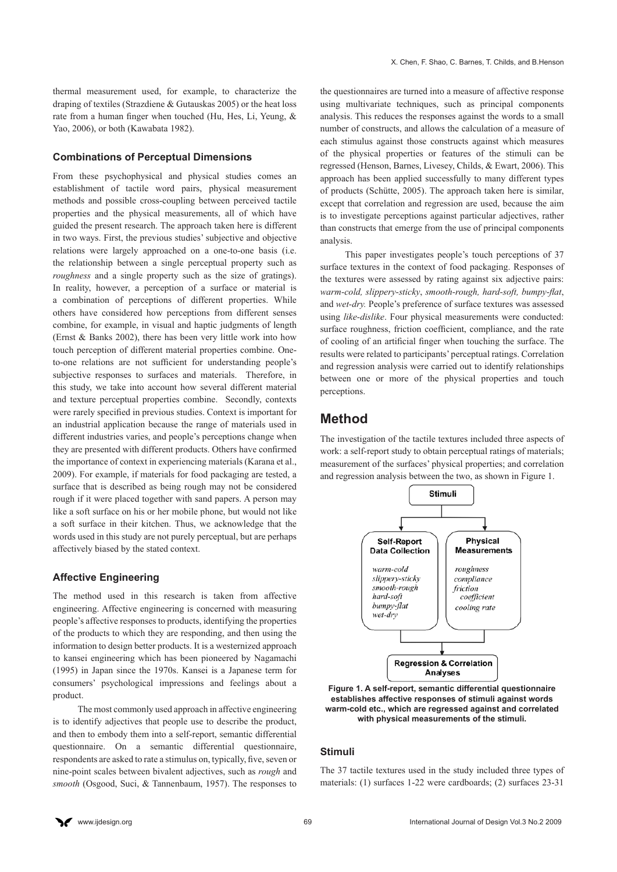thermal measurement used, for example, to characterize the draping of textiles (Strazdiene & Gutauskas 2005) or the heat loss rate from a human finger when touched (Hu, Hes, Li, Yeung, & Yao, 2006), or both (Kawabata 1982).

#### **Combinations of Perceptual Dimensions**

From these psychophysical and physical studies comes an establishment of tactile word pairs, physical measurement methods and possible cross-coupling between perceived tactile properties and the physical measurements, all of which have guided the present research. The approach taken here is different in two ways. First, the previous studies' subjective and objective relations were largely approached on a one-to-one basis (i.e. the relationship between a single perceptual property such as *roughness* and a single property such as the size of gratings). In reality, however, a perception of a surface or material is a combination of perceptions of different properties. While others have considered how perceptions from different senses combine, for example, in visual and haptic judgments of length (Ernst & Banks 2002), there has been very little work into how touch perception of different material properties combine. Oneto-one relations are not sufficient for understanding people's subjective responses to surfaces and materials. Therefore, in this study, we take into account how several different material and texture perceptual properties combine. Secondly, contexts were rarely specified in previous studies. Context is important for an industrial application because the range of materials used in different industries varies, and people's perceptions change when they are presented with different products. Others have confirmed the importance of context in experiencing materials (Karana et al., 2009). For example, if materials for food packaging are tested, a surface that is described as being rough may not be considered rough if it were placed together with sand papers. A person may like a soft surface on his or her mobile phone, but would not like a soft surface in their kitchen. Thus, we acknowledge that the words used in this study are not purely perceptual, but are perhaps affectively biased by the stated context.

#### **Affective Engineering**

The method used in this research is taken from affective engineering. Affective engineering is concerned with measuring people's affective responses to products, identifying the properties of the products to which they are responding, and then using the information to design better products. It is a westernized approach to kansei engineering which has been pioneered by Nagamachi (1995) in Japan since the 1970s. Kansei is a Japanese term for consumers' psychological impressions and feelings about a product.

The most commonly used approach in affective engineering is to identify adjectives that people use to describe the product, and then to embody them into a self-report, semantic differential questionnaire. On a semantic differential questionnaire, respondents are asked to rate a stimulus on, typically, five, seven or nine-point scales between bivalent adjectives, such as *rough* and *smooth* (Osgood, Suci, & Tannenbaum, 1957). The responses to

the questionnaires are turned into a measure of affective response using multivariate techniques, such as principal components analysis. This reduces the responses against the words to a small number of constructs, and allows the calculation of a measure of each stimulus against those constructs against which measures of the physical properties or features of the stimuli can be regressed (Henson, Barnes, Livesey, Childs, & Ewart, 2006). This approach has been applied successfully to many different types of products (Schütte, 2005). The approach taken here is similar, except that correlation and regression are used, because the aim is to investigate perceptions against particular adjectives, rather than constructs that emerge from the use of principal components analysis.

This paper investigates people's touch perceptions of 37 surface textures in the context of food packaging. Responses of the textures were assessed by rating against six adjective pairs: *warm-cold, slippery-sticky*, *smooth-rough, hard-soft, bumpy-flat*, and *wet-dry.* People's preference of surface textures was assessed using *like-dislike*. Four physical measurements were conducted: surface roughness, friction coefficient, compliance, and the rate of cooling of an artificial finger when touching the surface. The results were related to participants' perceptual ratings. Correlation and regression analysis were carried out to identify relationships between one or more of the physical properties and touch perceptions.

#### **Method**

The investigation of the tactile textures included three aspects of work: a self-report study to obtain perceptual ratings of materials: measurement of the surfaces' physical properties; and correlation and regression analysis between the two, as shown in Figure 1.





#### **Stimuli**

The 37 tactile textures used in the study included three types of materials: (1) surfaces 1-22 were cardboards; (2) surfaces 23-31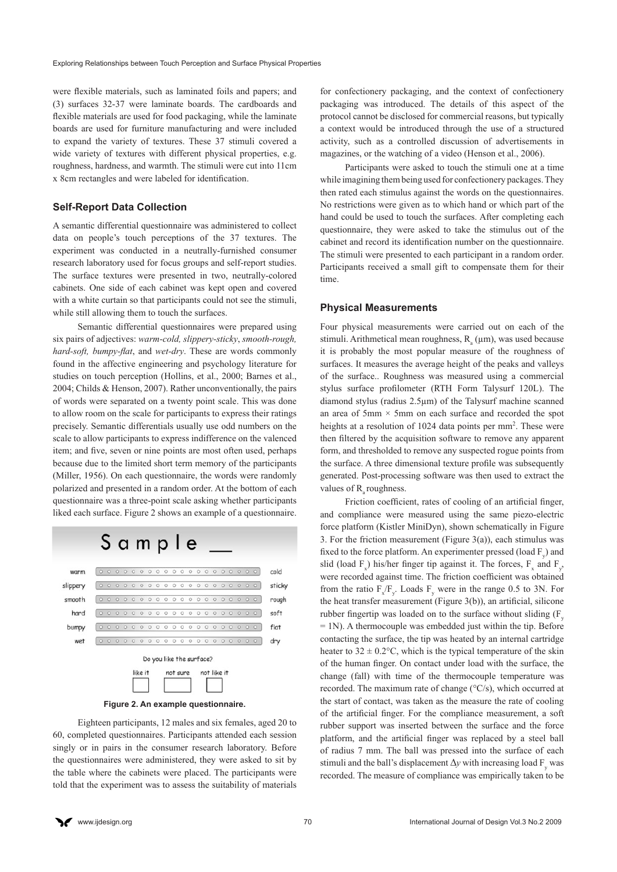were flexible materials, such as laminated foils and papers; and (3) surfaces 32-37 were laminate boards. The cardboards and flexible materials are used for food packaging, while the laminate boards are used for furniture manufacturing and were included to expand the variety of textures. These 37 stimuli covered a wide variety of textures with different physical properties, e.g. roughness, hardness, and warmth. The stimuli were cut into 11cm x 8cm rectangles and were labeled for identification.

#### **Self-Report Data Collection**

A semantic differential questionnaire was administered to collect data on people's touch perceptions of the 37 textures. The experiment was conducted in a neutrally-furnished consumer research laboratory used for focus groups and self-report studies. The surface textures were presented in two, neutrally-colored cabinets. One side of each cabinet was kept open and covered with a white curtain so that participants could not see the stimuli, while still allowing them to touch the surfaces.

Semantic differential questionnaires were prepared using six pairs of adjectives: *warm-cold, slippery-sticky*, *smooth-rough, hard-soft, bumpy-flat*, and *wet-dry*. These are words commonly found in the affective engineering and psychology literature for studies on touch perception (Hollins, et al., 2000; Barnes et al., 2004; Childs & Henson, 2007). Rather unconventionally, the pairs of words were separated on a twenty point scale. This was done to allow room on the scale for participants to express their ratings precisely. Semantic differentials usually use odd numbers on the scale to allow participants to express indifference on the valenced item; and five, seven or nine points are most often used, perhaps because due to the limited short term memory of the participants (Miller, 1956). On each questionnaire, the words were randomly polarized and presented in a random order. At the bottom of each questionnaire was a three-point scale asking whether participants liked each surface. Figure 2 shows an example of a questionnaire.





Eighteen participants, 12 males and six females, aged 20 to 60, completed questionnaires. Participants attended each session singly or in pairs in the consumer research laboratory. Before the questionnaires were administered, they were asked to sit by the table where the cabinets were placed. The participants were told that the experiment was to assess the suitability of materials

for confectionery packaging, and the context of confectionery packaging was introduced. The details of this aspect of the protocol cannot be disclosed for commercial reasons, but typically a context would be introduced through the use of a structured activity, such as a controlled discussion of advertisements in magazines, or the watching of a video (Henson et al., 2006).

Participants were asked to touch the stimuli one at a time while imagining them being used for confectionery packages. They then rated each stimulus against the words on the questionnaires. No restrictions were given as to which hand or which part of the hand could be used to touch the surfaces. After completing each questionnaire, they were asked to take the stimulus out of the cabinet and record its identification number on the questionnaire. The stimuli were presented to each participant in a random order. Participants received a small gift to compensate them for their time.

#### **Physical Measurements**

Four physical measurements were carried out on each of the stimuli. Arithmetical mean roughness,  $R_a(\mu m)$ , was used because it is probably the most popular measure of the roughness of surfaces. It measures the average height of the peaks and valleys of the surface.. Roughness was measured using a commercial stylus surface profilometer (RTH Form Talysurf 120L). The diamond stylus (radius 2.5µm) of the Talysurf machine scanned an area of 5mm  $\times$  5mm on each surface and recorded the spot heights at a resolution of 1024 data points per mm<sup>2</sup>. These were then filtered by the acquisition software to remove any apparent form, and thresholded to remove any suspected rogue points from the surface. A three dimensional texture profile was subsequently generated. Post-processing software was then used to extract the values of R<sub>a</sub> roughness.

Friction coefficient, rates of cooling of an artificial finger, and compliance were measured using the same piezo-electric force platform (Kistler MiniDyn), shown schematically in Figure 3. For the friction measurement (Figure  $3(a)$ ), each stimulus was fixed to the force platform. An experimenter pressed (load  $F_y$ ) and slid (load  $F_x$ ) his/her finger tip against it. The forces,  $F_x$  and  $F_y$ , were recorded against time. The friction coefficient was obtained from the ratio  $F_x/F_y$ . Loads  $F_y$  were in the range 0.5 to 3N. For the heat transfer measurement (Figure 3(b)), an artificial, silicone rubber fingertip was loaded on to the surface without sliding  $(F_y)$ = 1N). A thermocouple was embedded just within the tip. Before contacting the surface, the tip was heated by an internal cartridge heater to  $32 \pm 0.2$ °C, which is the typical temperature of the skin of the human finger. On contact under load with the surface, the change (fall) with time of the thermocouple temperature was recorded. The maximum rate of change (°C/s), which occurred at the start of contact, was taken as the measure the rate of cooling of the artificial finger. For the compliance measurement, a soft rubber support was inserted between the surface and the force platform, and the artificial finger was replaced by a steel ball of radius 7 mm. The ball was pressed into the surface of each stimuli and the ball's displacement  $\Delta y$  with increasing load  $F_y$  was recorded. The measure of compliance was empirically taken to be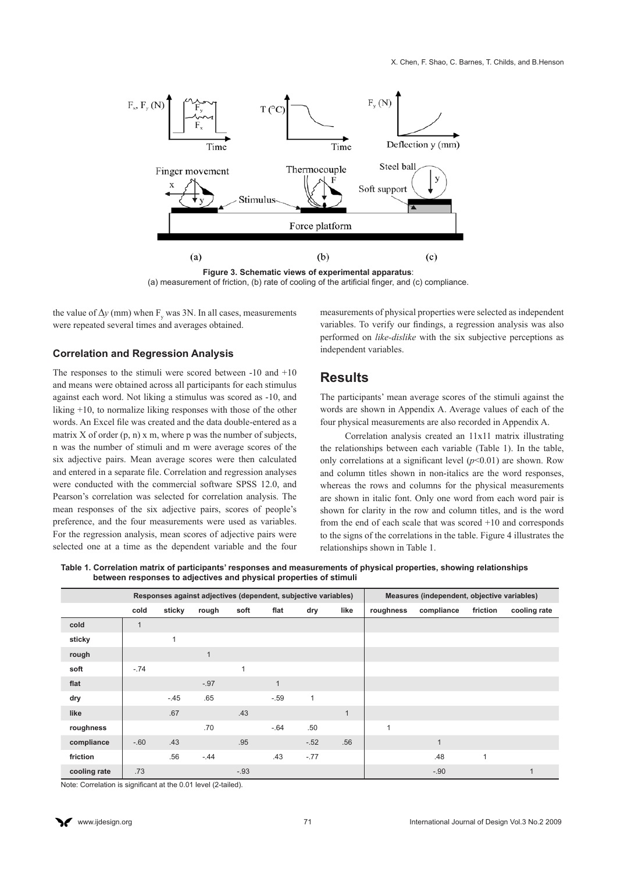

(a) measurement of friction, (b) rate of cooling of the artificial finger, and (c) compliance.

the value of  $\Delta y$  (mm) when  $F_y$  was 3N. In all cases, measurements were repeated several times and averages obtained.

#### **Correlation and Regression Analysis**

The responses to the stimuli were scored between -10 and +10 and means were obtained across all participants for each stimulus against each word. Not liking a stimulus was scored as -10, and liking +10, to normalize liking responses with those of the other words. An Excel file was created and the data double-entered as a matrix  $X$  of order  $(p, n)$  x m, where p was the number of subjects, n was the number of stimuli and m were average scores of the six adjective pairs. Mean average scores were then calculated and entered in a separate file. Correlation and regression analyses were conducted with the commercial software SPSS 12.0, and Pearson's correlation was selected for correlation analysis. The mean responses of the six adjective pairs, scores of people's preference, and the four measurements were used as variables. For the regression analysis, mean scores of adjective pairs were selected one at a time as the dependent variable and the four

measurements of physical properties were selected as independent variables. To verify our findings, a regression analysis was also performed on *like-dislike* with the six subjective perceptions as independent variables.

### **Results**

The participants' mean average scores of the stimuli against the words are shown in Appendix A. Average values of each of the four physical measurements are also recorded in Appendix A.

Correlation analysis created an 11x11 matrix illustrating the relationships between each variable (Table 1). In the table, only correlations at a significant level  $(p<0.01)$  are shown. Row and column titles shown in non-italics are the word responses, whereas the rows and columns for the physical measurements are shown in italic font. Only one word from each word pair is shown for clarity in the row and column titles, and is the word from the end of each scale that was scored +10 and corresponds to the signs of the correlations in the table. Figure 4 illustrates the relationships shown in Table 1.

**Table 1. Correlation matrix of participants' responses and measurements of physical properties, showing relationships between responses to adjectives and physical properties of stimuli**

|              |        |              | Responses against adjectives (dependent, subjective variables) |        |              | Measures (independent, objective variables) |              |           |                |          |              |
|--------------|--------|--------------|----------------------------------------------------------------|--------|--------------|---------------------------------------------|--------------|-----------|----------------|----------|--------------|
|              | cold   | sticky       | rough                                                          | soft   | flat         | dry                                         | like         | roughness | compliance     | friction | cooling rate |
| cold         |        |              |                                                                |        |              |                                             |              |           |                |          |              |
| sticky       |        | $\mathbf{1}$ |                                                                |        |              |                                             |              |           |                |          |              |
| rough        |        |              | $\mathbf{1}$                                                   |        |              |                                             |              |           |                |          |              |
| soft         | $-.74$ |              |                                                                | 1      |              |                                             |              |           |                |          |              |
| flat         |        |              | $-.97$                                                         |        | $\mathbf{1}$ |                                             |              |           |                |          |              |
| dry          |        | $-.45$       | .65                                                            |        | $-.59$       | $\mathbf{1}$                                |              |           |                |          |              |
| like         |        | .67          |                                                                | .43    |              |                                             | $\mathbf{1}$ |           |                |          |              |
| roughness    |        |              | .70                                                            |        | $-.64$       | .50                                         |              |           |                |          |              |
| compliance   | $-.60$ | .43          |                                                                | .95    |              | $-.52$                                      | .56          |           | $\overline{1}$ |          |              |
| friction     |        | .56          | $-.44$                                                         |        | .43          | $-.77$                                      |              |           | .48            | 1        |              |
| cooling rate | .73    |              |                                                                | $-.93$ |              |                                             |              |           | $-.90$         |          | 1            |

Note: Correlation is significant at the 0.01 level (2-tailed).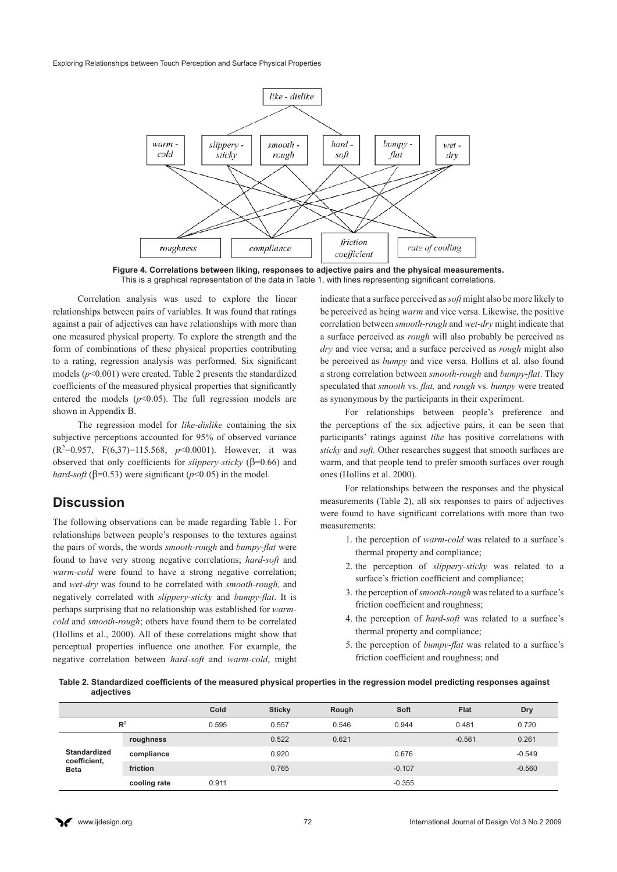Exploring Relationships between Touch Perception and Surface Physical Properties



**Figure 4. Correlations between liking, responses to adjective pairs and the physical measurements.**  This is a graphical representation of the data in Table 1, with lines representing significant correlations.

Correlation analysis was used to explore the linear relationships between pairs of variables. It was found that ratings against a pair of adjectives can have relationships with more than one measured physical property. To explore the strength and the form of combinations of these physical properties contributing to a rating, regression analysis was performed. Six significant models (*p*<0.001) were created. Table 2 presents the standardized coefficients of the measured physical properties that significantly entered the models  $(p<0.05)$ . The full regression models are shown in Appendix B.

The regression model for *like-dislike* containing the six subjective perceptions accounted for 95% of observed variance (R2 =0.957, F(6,37)=115.568, *p*<0.0001). However, it was observed that only coefficients for *slippery-sticky* ( $\beta$ =0.66) and *hard-soft* ( $\beta$ =0.53) were significant ( $p$ <0.05) in the model.

# **Discussion**

The following observations can be made regarding Table 1. For relationships between people's responses to the textures against the pairs of words, the words *smooth-rough* and *bumpy-flat* were found to have very strong negative correlations; *hard-soft* and *warm-cold* were found to have a strong negative correlation; and *wet-dry* was found to be correlated with *smooth-rough,* and negatively correlated with *slippery-sticky* and *bumpy-flat*. It is perhaps surprising that no relationship was established for *warmcold* and *smooth-rough*; others have found them to be correlated (Hollins et al., 2000). All of these correlations might show that perceptual properties influence one another. For example, the negative correlation between *hard-soft* and *warm-cold*, might

indicate that a surface perceived as *soft* might also be more likely to be perceived as being *warm* and vice versa. Likewise, the positive correlation between *smooth-rough* and *wet-dry* might indicate that a surface perceived as *rough* will also probably be perceived as *dry* and vice versa; and a surface perceived as *rough* might also be perceived as *bumpy* and vice versa*.* Hollins et al. also found a strong correlation between *smooth-rough* and *bumpy-flat*. They speculated that *smooth* vs. *flat,* and *rough* vs. *bumpy* were treated as synonymous by the participants in their experiment.

For relationships between people's preference and the perceptions of the six adjective pairs, it can be seen that participants' ratings against *like* has positive correlations with *sticky* and *soft.* Other researches suggest that smooth surfaces are warm, and that people tend to prefer smooth surfaces over rough ones (Hollins et al. 2000).

For relationships between the responses and the physical measurements (Table 2), all six responses to pairs of adjectives were found to have significant correlations with more than two measurements:

- 1. the perception of *warm-cold* was related to a surface's thermal property and compliance;
- 2. the perception of *slippery-sticky* was related to a surface's friction coefficient and compliance;
- 3. the perception of *smooth-rough* was related to a surface's friction coefficient and roughness;
- 4. the perception of *hard-soft* was related to a surface's thermal property and compliance;
- 5. the perception of *bumpy-flat* was related to a surface's friction coefficient and roughness; and

**Table 2. Standardized coefficients of the measured physical properties in the regression model predicting responses against adjectives**

|                             |              | Cold  | <b>Sticky</b> | Rough | <b>Soft</b> | Flat     | <b>Dry</b> |
|-----------------------------|--------------|-------|---------------|-------|-------------|----------|------------|
| $\mathbb{R}^2$              |              | 0.595 | 0.557         | 0.546 | 0.944       | 0.481    | 0.720      |
|                             | roughness    |       | 0.522         | 0.621 |             | $-0.561$ | 0.261      |
| <b>Standardized</b>         | compliance   |       | 0.920         |       | 0.676       |          | $-0.549$   |
| coefficient,<br><b>Beta</b> | friction     |       | 0.765         |       | $-0.107$    |          | $-0.560$   |
|                             | cooling rate | 0.911 |               |       | $-0.355$    |          |            |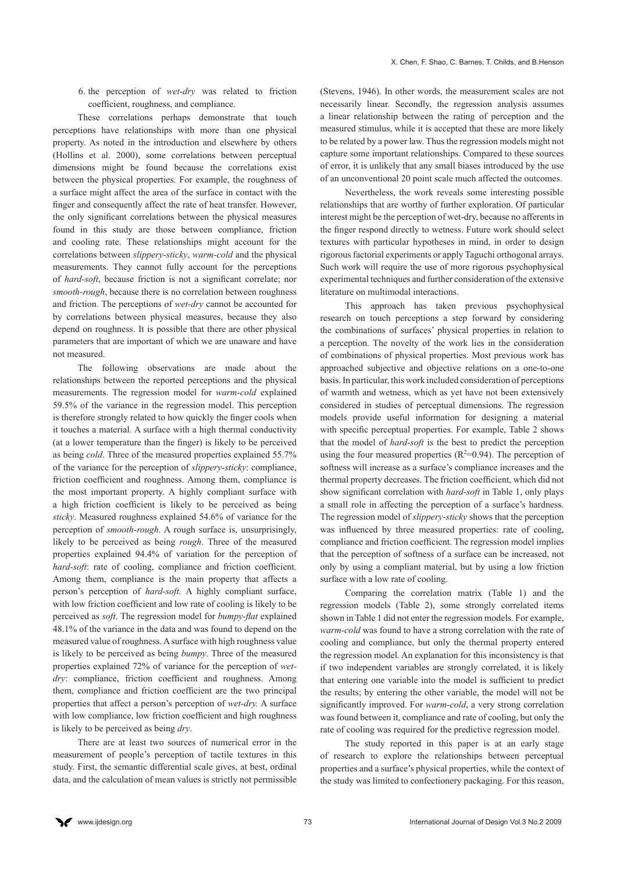6. the perception of *wet-dry* was related to friction coefficient, roughness, and compliance.

These correlations perhaps demonstrate that touch perceptions have relationships with more than one physical property. As noted in the introduction and elsewhere by others (Hollins et al. 2000), some correlations between perceptual dimensions might be found because the correlations exist between the physical properties. For example, the roughness of a surface might affect the area of the surface in contact with the finger and consequently affect the rate of heat transfer. However, the only significant correlations between the physical measures found in this study are those between compliance, friction and cooling rate. These relationships might account for the correlations between *slippery-sticky*, *warm-cold* and the physical measurements. They cannot fully account for the perceptions of *hard-soft*, because friction is not a significant correlate; nor *smooth-rough*, because there is no correlation between roughness and friction. The perceptions of *wet-dry* cannot be accounted for by correlations between physical measures, because they also depend on roughness. It is possible that there are other physical parameters that are important of which we are unaware and have not measured.

The following observations are made about the relationships between the reported perceptions and the physical measurements. The regression model for *warm-cold* explained 59.5% of the variance in the regression model. This perception is therefore strongly related to how quickly the finger cools when it touches a material. A surface with a high thermal conductivity (at a lower temperature than the finger) is likely to be perceived as being *cold*. Three of the measured properties explained 55.7% of the variance for the perception of *slippery-sticky*: compliance, friction coefficient and roughness. Among them, compliance is the most important property. A highly compliant surface with a high friction coefficient is likely to be perceived as being *sticky*. Measured roughness explained 54.6% of variance for the perception of *smooth-rough.* A rough surface is, unsurprisingly, likely to be perceived as being *rough*. Three of the measured properties explained 94.4% of variation for the perception of *hard-soft*: rate of cooling, compliance and friction coefficient. Among them, compliance is the main property that affects a person's perception of *hard-soft.* A highly compliant surface, with low friction coefficient and low rate of cooling is likely to be perceived as *soft*. The regression model for *bumpy-flat* explained 48.1% of the variance in the data and was found to depend on the measured value of roughness. A surface with high roughness value is likely to be perceived as being *bumpy*. Three of the measured properties explained 72% of variance for the perception of *wetdry*: compliance, friction coefficient and roughness. Among them, compliance and friction coefficient are the two principal properties that affect a person's perception of *wet-dry.* A surface with low compliance, low friction coefficient and high roughness is likely to be perceived as being *dry*.

There are at least two sources of numerical error in the measurement of people's perception of tactile textures in this study. First, the semantic differential scale gives, at best, ordinal data, and the calculation of mean values is strictly not permissible (Stevens, 1946). In other words, the measurement scales are not necessarily linear. Secondly, the regression analysis assumes a linear relationship between the rating of perception and the measured stimulus, while it is accepted that these are more likely to be related by a power law. Thus the regression models might not capture some important relationships. Compared to these sources of error, it is unlikely that any small biases introduced by the use of an unconventional 20 point scale much affected the outcomes.

Nevertheless, the work reveals some interesting possible relationships that are worthy of further exploration. Of particular interest might be the perception of wet-dry, because no afferents in the finger respond directly to wetness. Future work should select textures with particular hypotheses in mind, in order to design rigorous factorial experiments or apply Taguchi orthogonal arrays. Such work will require the use of more rigorous psychophysical experimental techniques and further consideration of the extensive literature on multimodal interactions.

This approach has taken previous psychophysical research on touch perceptions a step forward by considering the combinations of surfaces' physical properties in relation to a perception. The novelty of the work lies in the consideration of combinations of physical properties. Most previous work has approached subjective and objective relations on a one-to-one basis. In particular, this work included consideration of perceptions of warmth and wetness, which as yet have not been extensively considered in studies of perceptual dimensions. The regression models provide useful information for designing a material with specific perceptual properties. For example, Table 2 shows that the model of *hard-soft* is the best to predict the perception using the four measured properties  $(R^2=0.94)$ . The perception of softness will increase as a surface's compliance increases and the thermal property decreases. The friction coefficient, which did not show significant correlation with *hard-soft* in Table 1, only plays a small role in affecting the perception of a surface's hardness. The regression model of *slippery-sticky* shows that the perception was influenced by three measured properties: rate of cooling, compliance and friction coefficient. The regression model implies that the perception of softness of a surface can be increased, not only by using a compliant material, but by using a low friction surface with a low rate of cooling.

Comparing the correlation matrix (Table 1) and the regression models (Table 2), some strongly correlated items shown in Table 1 did not enter the regression models. For example, *warm-cold* was found to have a strong correlation with the rate of cooling and compliance, but only the thermal property entered the regression model. An explanation for this inconsistency is that if two independent variables are strongly correlated, it is likely that entering one variable into the model is sufficient to predict the results; by entering the other variable, the model will not be significantly improved. For *warm-cold*, a very strong correlation was found between it, compliance and rate of cooling, but only the rate of cooling was required for the predictive regression model.

The study reported in this paper is at an early stage of research to explore the relationships between perceptual properties and a surface's physical properties, while the context of the study was limited to confectionery packaging. For this reason,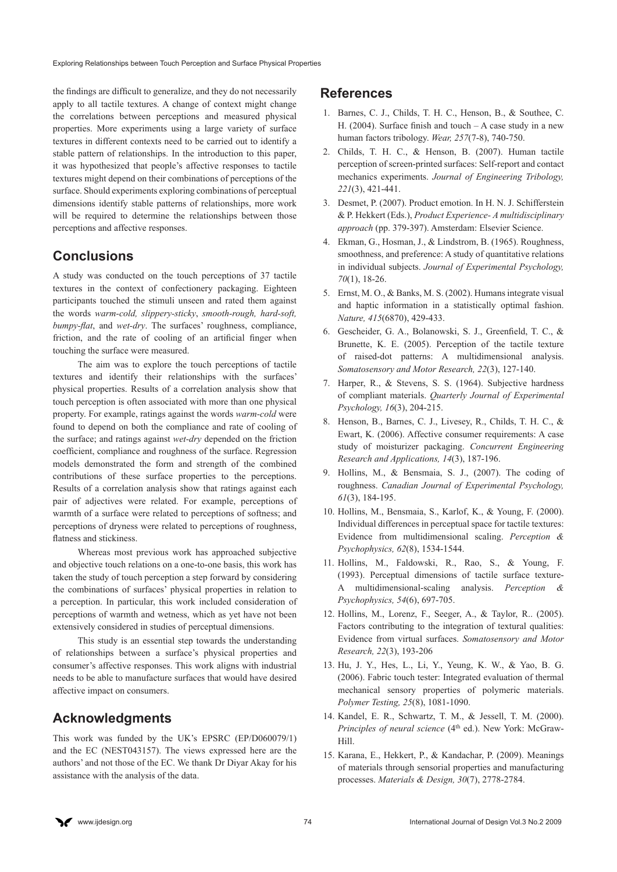the findings are difficult to generalize, and they do not necessarily apply to all tactile textures. A change of context might change the correlations between perceptions and measured physical properties. More experiments using a large variety of surface textures in different contexts need to be carried out to identify a stable pattern of relationships. In the introduction to this paper, it was hypothesized that people's affective responses to tactile textures might depend on their combinations of perceptions of the surface. Should experiments exploring combinations of perceptual dimensions identify stable patterns of relationships, more work will be required to determine the relationships between those perceptions and affective responses.

# **Conclusions**

A study was conducted on the touch perceptions of 37 tactile textures in the context of confectionery packaging. Eighteen participants touched the stimuli unseen and rated them against the words *warm-cold, slippery-sticky*, *smooth-rough, hard-soft, bumpy-flat*, and *wet-dry*. The surfaces' roughness, compliance, friction, and the rate of cooling of an artificial finger when touching the surface were measured.

The aim was to explore the touch perceptions of tactile textures and identify their relationships with the surfaces' physical properties. Results of a correlation analysis show that touch perception is often associated with more than one physical property. For example, ratings against the words *warm-cold* were found to depend on both the compliance and rate of cooling of the surface; and ratings against *wet-dry* depended on the friction coefficient, compliance and roughness of the surface. Regression models demonstrated the form and strength of the combined contributions of these surface properties to the perceptions. Results of a correlation analysis show that ratings against each pair of adjectives were related. For example, perceptions of warmth of a surface were related to perceptions of softness; and perceptions of dryness were related to perceptions of roughness, flatness and stickiness.

Whereas most previous work has approached subjective and objective touch relations on a one-to-one basis, this work has taken the study of touch perception a step forward by considering the combinations of surfaces' physical properties in relation to a perception. In particular, this work included consideration of perceptions of warmth and wetness, which as yet have not been extensively considered in studies of perceptual dimensions.

This study is an essential step towards the understanding of relationships between a surface's physical properties and consumer's affective responses. This work aligns with industrial needs to be able to manufacture surfaces that would have desired affective impact on consumers.

# **Acknowledgments**

This work was funded by the UK's EPSRC (EP/D060079/1) and the EC (NEST043157). The views expressed here are the authors' and not those of the EC. We thank Dr Diyar Akay for his assistance with the analysis of the data.

# **References**

- 1. Barnes, C. J., Childs, T. H. C., Henson, B., & Southee, C. H. (2004). Surface finish and touch – A case study in a new human factors tribology. *Wear, 257*(7-8), 740-750.
- 2. Childs, T. H. C., & Henson, B. (2007). Human tactile perception of screen-printed surfaces: Self-report and contact mechanics experiments. *Journal of Engineering Tribology, 221*(3), 421-441.
- 3. Desmet, P. (2007). Product emotion. In H. N. J. Schifferstein & P. Hekkert (Eds.), *Product Experience- A multidisciplinary approach* (pp. 379-397). Amsterdam: Elsevier Science.
- 4. Ekman, G., Hosman, J., & Lindstrom, B. (1965). Roughness, smoothness, and preference: A study of quantitative relations in individual subjects. *Journal of Experimental Psychology, 70*(1), 18-26.
- 5. Ernst, M. O., & Banks, M. S. (2002). Humans integrate visual and haptic information in a statistically optimal fashion. *Nature, 415*(6870), 429-433.
- 6. Gescheider, G. A., Bolanowski, S. J., Greenfield, T. C., & Brunette, K. E. (2005). Perception of the tactile texture of raised-dot patterns: A multidimensional analysis. *Somatosensory and Motor Research, 22*(3), 127-140.
- 7. Harper, R., & Stevens, S. S. (1964). Subjective hardness of compliant materials. *Quarterly Journal of Experimental Psychology, 16*(3), 204-215.
- 8. Henson, B., Barnes, C. J., Livesey, R., Childs, T. H. C., & Ewart, K. (2006). Affective consumer requirements: A case study of moisturizer packaging. *Concurrent Engineering Research and Applications, 14*(3), 187-196.
- 9. Hollins, M., & Bensmaia, S. J., (2007). The coding of roughness. *Canadian Journal of Experimental Psychology, 61*(3), 184-195.
- 10. Hollins, M., Bensmaia, S., Karlof, K., & Young, F. (2000). Individual differences in perceptual space for tactile textures: Evidence from multidimensional scaling. *Perception & Psychophysics, 62*(8), 1534-1544.
- 11. Hollins, M., Faldowski, R., Rao, S., & Young, F. (1993). Perceptual dimensions of tactile surface texture-A multidimensional-scaling analysis. *Perception & Psychophysics, 54*(6), 697-705.
- 12. Hollins, M., Lorenz, F., Seeger, A., & Taylor, R.. (2005). Factors contributing to the integration of textural qualities: Evidence from virtual surfaces. *Somatosensory and Motor Research, 22*(3), 193-206
- 13. Hu, J. Y., Hes, L., Li, Y., Yeung, K. W., & Yao, B. G. (2006). Fabric touch tester: Integrated evaluation of thermal mechanical sensory properties of polymeric materials. *Polymer Testing, 25*(8), 1081-1090.
- 14. Kandel, E. R., Schwartz, T. M., & Jessell, T. M. (2000). *Principles of neural science* (4<sup>th</sup> ed.). New York: McGraw-Hill.
- 15. Karana, E., Hekkert, P., & Kandachar, P. (2009). Meanings of materials through sensorial properties and manufacturing processes. *Materials & Design, 30*(7), 2778-2784.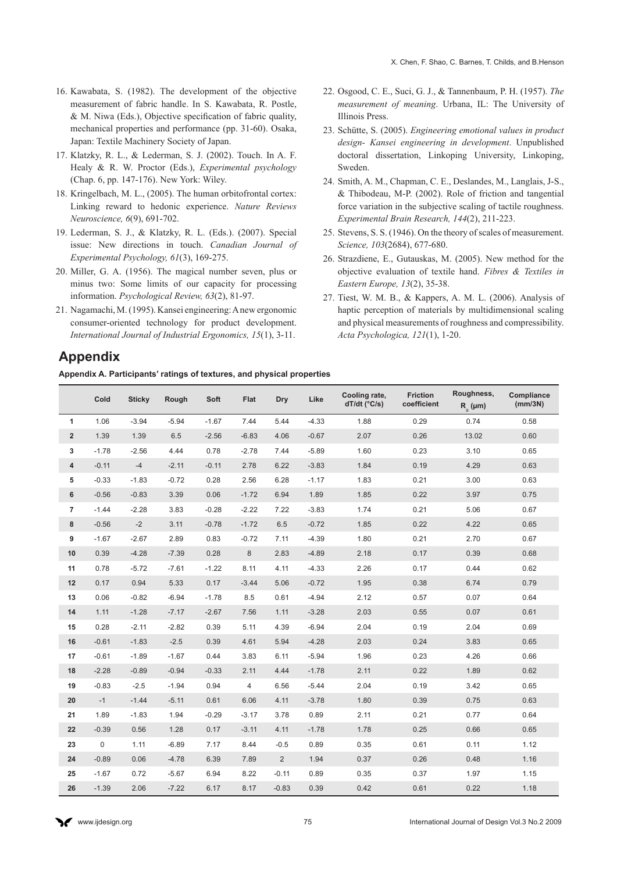- 16. Kawabata, S. (1982). The development of the objective measurement of fabric handle. In S. Kawabata, R. Postle, & M. Niwa (Eds.), Objective specification of fabric quality, mechanical properties and performance (pp. 31-60). Osaka, Japan: Textile Machinery Society of Japan.
- 17. Klatzky, R. L., & Lederman, S. J. (2002). Touch. In A. F. Healy & R. W. Proctor (Eds.), *Experimental psychology* (Chap. 6, pp. 147-176). New York: Wiley.
- 18. Kringelbach, M. L., (2005). The human orbitofrontal cortex: Linking reward to hedonic experience. *Nature Reviews Neuroscience, 6*(9), 691-702.
- 19. Lederman, S. J., & Klatzky, R. L. (Eds.). (2007). Special issue: New directions in touch. *Canadian Journal of Experimental Psychology, 61*(3), 169-275.
- 20. Miller, G. A. (1956). The magical number seven, plus or minus two: Some limits of our capacity for processing information. *Psychological Review, 63*(2), 81-97.
- 21. Nagamachi, M. (1995). Kansei engineering: A new ergonomic consumer-oriented technology for product development. *International Journal of Industrial Ergonomics, 15*(1), 3-11.
- 22. Osgood, C. E., Suci, G. J., & Tannenbaum, P. H. (1957). *The measurement of meaning*. Urbana, IL: The University of Illinois Press.
- 23. Schütte, S. (2005). *Engineering emotional values in product design- Kansei engineering in development*. Unpublished doctoral dissertation, Linkoping University, Linkoping, Sweden.
- 24. Smith, A. M., Chapman, C. E., Deslandes, M., Langlais, J-S., & Thibodeau, M-P. (2002). Role of friction and tangential force variation in the subjective scaling of tactile roughness. *Experimental Brain Research, 144*(2), 211-223.
- 25. Stevens, S. S. (1946). On the theory of scales of measurement. *Science, 103*(2684), 677-680.
- 26. Strazdiene, E., Gutauskas, M. (2005). New method for the objective evaluation of textile hand. *Fibres & Textiles in Eastern Europe, 13*(2), 35-38.
- 27. Tiest, W. M. B., & Kappers, A. M. L. (2006). Analysis of haptic perception of materials by multidimensional scaling and physical measurements of roughness and compressibility. *Acta Psychologica, 121*(1), 1-20.

# **Appendix**

**Appendix A. Participants' ratings of textures, and physical properties**

|                         | Cold        | <b>Sticky</b> | Rough   | Soft    | Flat    | Dry            | Like    | Cooling rate,<br>$dT/dt$ ( $°C/s$ ) | <b>Friction</b><br>coefficient | Roughness,<br>$R_a$ (µm) | Compliance<br>(mm/3N) |
|-------------------------|-------------|---------------|---------|---------|---------|----------------|---------|-------------------------------------|--------------------------------|--------------------------|-----------------------|
| 1                       | 1.06        | $-3.94$       | $-5.94$ | $-1.67$ | 7.44    | 5.44           | $-4.33$ | 1.88                                | 0.29                           | 0.74                     | 0.58                  |
| $\overline{\mathbf{2}}$ | 1.39        | 1.39          | 6.5     | $-2.56$ | $-6.83$ | 4.06           | $-0.67$ | 2.07                                | 0.26                           | 13.02                    | 0.60                  |
| 3                       | $-1.78$     | $-2.56$       | 4.44    | 0.78    | $-2.78$ | 7.44           | $-5.89$ | 1.60                                | 0.23                           | 3.10                     | 0.65                  |
| 4                       | $-0.11$     | $-4$          | $-2.11$ | $-0.11$ | 2.78    | 6.22           | $-3.83$ | 1.84                                | 0.19                           | 4.29                     | 0.63                  |
| 5                       | $-0.33$     | $-1.83$       | $-0.72$ | 0.28    | 2.56    | 6.28           | $-1.17$ | 1.83                                | 0.21                           | 3.00                     | 0.63                  |
| 6                       | $-0.56$     | $-0.83$       | 3.39    | 0.06    | $-1.72$ | 6.94           | 1.89    | 1.85                                | 0.22                           | 3.97                     | 0.75                  |
| $\overline{7}$          | $-1.44$     | $-2.28$       | 3.83    | $-0.28$ | $-2.22$ | 7.22           | $-3.83$ | 1.74                                | 0.21                           | 5.06                     | 0.67                  |
| 8                       | $-0.56$     | $-2$          | 3.11    | $-0.78$ | $-1.72$ | 6.5            | $-0.72$ | 1.85                                | 0.22                           | 4.22                     | 0.65                  |
| 9                       | $-1.67$     | $-2.67$       | 2.89    | 0.83    | $-0.72$ | 7.11           | $-4.39$ | 1.80                                | 0.21                           | 2.70                     | 0.67                  |
| 10                      | 0.39        | $-4.28$       | $-7.39$ | 0.28    | $\bf 8$ | 2.83           | $-4.89$ | 2.18                                | 0.17                           | 0.39                     | 0.68                  |
| 11                      | 0.78        | $-5.72$       | $-7.61$ | $-1.22$ | 8.11    | 4.11           | $-4.33$ | 2.26                                | 0.17                           | 0.44                     | 0.62                  |
| 12                      | 0.17        | 0.94          | 5.33    | 0.17    | $-3.44$ | 5.06           | $-0.72$ | 1.95                                | 0.38                           | 6.74                     | 0.79                  |
| 13                      | 0.06        | $-0.82$       | $-6.94$ | $-1.78$ | 8.5     | 0.61           | $-4.94$ | 2.12                                | 0.57                           | 0.07                     | 0.64                  |
| 14                      | 1.11        | $-1.28$       | $-7.17$ | $-2.67$ | 7.56    | 1.11           | $-3.28$ | 2.03                                | 0.55                           | 0.07                     | 0.61                  |
| 15                      | 0.28        | $-2.11$       | $-2.82$ | 0.39    | 5.11    | 4.39           | $-6.94$ | 2.04                                | 0.19                           | 2.04                     | 0.69                  |
| 16                      | $-0.61$     | $-1.83$       | $-2.5$  | 0.39    | 4.61    | 5.94           | $-4.28$ | 2.03                                | 0.24                           | 3.83                     | 0.65                  |
| 17                      | $-0.61$     | $-1.89$       | $-1.67$ | 0.44    | 3.83    | 6.11           | $-5.94$ | 1.96                                | 0.23                           | 4.26                     | 0.66                  |
| 18                      | $-2.28$     | $-0.89$       | $-0.94$ | $-0.33$ | 2.11    | 4.44           | $-1.78$ | 2.11                                | 0.22                           | 1.89                     | 0.62                  |
| 19                      | $-0.83$     | $-2.5$        | $-1.94$ | 0.94    | 4       | 6.56           | $-5.44$ | 2.04                                | 0.19                           | 3.42                     | 0.65                  |
| 20                      | $-1$        | $-1.44$       | $-5.11$ | 0.61    | 6.06    | 4.11           | $-3.78$ | 1.80                                | 0.39                           | 0.75                     | 0.63                  |
| 21                      | 1.89        | $-1.83$       | 1.94    | $-0.29$ | $-3.17$ | 3.78           | 0.89    | 2.11                                | 0.21                           | 0.77                     | 0.64                  |
| 22                      | $-0.39$     | 0.56          | 1.28    | 0.17    | $-3.11$ | 4.11           | $-1.78$ | 1.78                                | 0.25                           | 0.66                     | 0.65                  |
| 23                      | $\mathbf 0$ | 1.11          | $-6.89$ | 7.17    | 8.44    | $-0.5$         | 0.89    | 0.35                                | 0.61                           | 0.11                     | 1.12                  |
| 24                      | $-0.89$     | 0.06          | $-4.78$ | 6.39    | 7.89    | $\overline{2}$ | 1.94    | 0.37                                | 0.26                           | 0.48                     | 1.16                  |
| 25                      | $-1.67$     | 0.72          | $-5.67$ | 6.94    | 8.22    | $-0.11$        | 0.89    | 0.35                                | 0.37                           | 1.97                     | 1.15                  |
| 26                      | $-1.39$     | 2.06          | $-7.22$ | 6.17    | 8.17    | $-0.83$        | 0.39    | 0.42                                | 0.61                           | 0.22                     | 1.18                  |